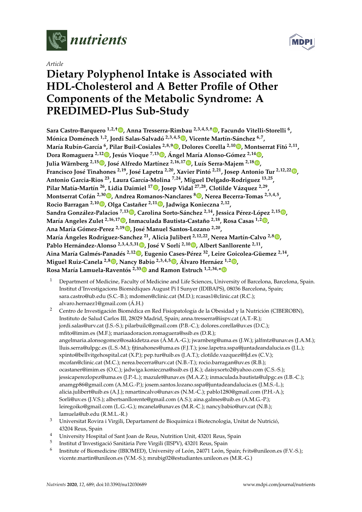

*Article*

# **Dietary Polyphenol Intake is Associated with HDL-Cholesterol and A Better Profile of Other Components of the Metabolic Syndrome: A PREDIMED-Plus Sub-Study**

**Sara Castro-Barquero 1,2,**† **[,](https://orcid.org/0000-0002-6876-5443) Anna Tresserra-Rimbau 2,3,4,5,**† **[,](https://orcid.org/0000-0002-7022-9041) Facundo Vitelli-Storelli <sup>6</sup> , Mónica Doménech 1,2, Jordi Salas-Salvadó 2,3,4,5 [,](https://orcid.org/0000-0003-2700-7459) Vicente Martín-Sánchez 6,7 , María Rubín-García 6 , Pilar Buil-Cosiales 2,8,9 [,](https://orcid.org/0000-0002-8586-577X) Dolores Corella 2,10 [,](https://orcid.org/0000-0002-2366-4104) Montserrat Fitó 2,11 , Dora Romaguera 2,12 [,](https://orcid.org/0000-0002-5762-8558) Jesús Vioque 7,13 [,](https://orcid.org/0000-0002-2284-148X) Ángel María Alonso-Gómez 2,14 [,](https://orcid.org/0000-0003-2945-7509) Julia Wärnberg 2,15 [,](https://orcid.org/0000-0002-8408-316X) José Alfredo Martínez 2,16,17 [,](https://orcid.org/0000-0001-5218-6941) Luís Serra-Majem 2,1[8](https://orcid.org/0000-0002-9658-9061) , Francisco José Tinahones 2,19, José Lapetra 2,20, Xavier Pintó 2,21, Josep Antonio Tur 2,12,22 [,](https://orcid.org/0000-0002-6940-0761) Antonio Garcia-Rios <sup>23</sup>, Laura García-Molina 7,24, Miguel Delgado-Rodriguez 13,25 , Pilar Matía-Martín <sup>26</sup>, Lidia Daimiel <sup>17</sup> [,](https://orcid.org/0000-0001-9898-6629) Josep Vidal 27,28, Clotilde Vázquez 2,29 , Montserrat Cofán 2,30 [,](https://orcid.org/0000-0002-1895-5644) Andrea Romanos-Nanclares <sup>8</sup> [,](https://orcid.org/0000-0002-9694-7607) Nerea Becerra-Tomas 2,3,4,5 , Rocio Barragan 2,10 [,](https://orcid.org/0000-0001-8072-3791) Olga Castañer 2,11 [,](https://orcid.org/0000-0003-3169-997X) Jadwiga Konieczna 2,12 , Sandra González-Palacios 7,13 [,](https://orcid.org/0000-0003-3358-472X) Carolina Sorto-Sánchez 2,14, Jessica Pérez-López 2,1[5](https://orcid.org/0000-0003-2579-716X) , María Angeles Zulet 2,16,17 [,](https://orcid.org/0000-0002-3926-0892) Inmaculada Bautista-Castaño 2,18, Rosa Casas 1,2 [,](https://orcid.org/0000-0002-0211-9166) Ana María Gómez-Perez 2,19 [,](https://orcid.org/0000-0002-2874-5894) José Manuel Santos-Lozano 2,20 , María Ángeles Rodríguez-Sanchez <sup>21</sup>, Alicia Julibert 2,12,22, Nerea Martín-Calvo 2,[8](https://orcid.org/0000-0001-7549-1455) , Pablo Hernández-Alonso 2,3,4,5,31 [,](https://orcid.org/0000-0002-9977-8976) José V Sorlí 2,10 [,](https://orcid.org/0000-0002-0130-2006) Albert Sanllorente 2,11 , Aina María Galmés-Panadés 2,1[2](https://orcid.org/0000-0001-6977-9874) , Eugenio Cases-Pérez <sup>32</sup>, Leire Goicolea-Güemez 2,14 , Miguel Ruiz-Canela 2,8 [,](https://orcid.org/0000-0002-7684-2787) Nancy Babio 2,3,4,[5](https://orcid.org/0000-0003-3527-5277) , Álvaro Hernáez 1,2 [,](https://orcid.org/0000-0001-8593-1477) Rosa María Lamuela-Raventós 2,3[3](https://orcid.org/0000-0002-1287-4560) and Ramon Estruch 1,2,34,[\\*](https://orcid.org/0000-0003-1260-4445)**

- <sup>1</sup> Department of Medicine, Faculty of Medicine and Life Sciences, University of Barcelona, Barcelona, Spain. Institut d'Investigacions Biomèdiques August Pi I Sunyer (IDIBAPS), 08036 Barcelona, Spain; sara.castro@ub.edu (S.C.-B.); mdomen@clinic.cat (M.D.); rcasas1@clinic.cat (R.C.); alvaro.hernaez1@gmail.com (Á.H.)
- <sup>2</sup> Centro de Investigación Biomédica en Red Fisiopatología de la Obesidad y la Nutrición (CIBEROBN), Instituto de Salud Carlos III, 28029 Madrid, Spain; anna.tresserra@iispv.cat (A.T.-R.); jordi.salas@urv.cat (J.S.-S.); pilarbuilc@gmail.com (P.B.-C.); dolores.corella@uv.es (D.C.); mfito@imim.es (M.F.); mariaadoracion.romaguera@ssib.es (D.R.); angelmaria.alonsogomez@osakidetza.eus (Á.M.A.-G.); jwarnberg@uma.es (J.W.); jalfmtz@unav.es (J.A.M.); lluis.serra@ulpgc.es (L.S.-M.); fjtinahones@uma.es (F.J.T.); jose.lapetra.sspa@juntadeandalucia.es (J.L.); xpinto@bellvitgehospital.cat (X.P.); pep.tur@uib.es (J.A.T.); clotilde.vazquez@fjd.es (C.V.); mcofan@clinic.cat (M.C.); nerea.becerra@urv.cat (N.B.-T.); rocio.barragan@uv.es (R.B.); ocastaner@imim.es (O.C.); jadwiga.konieczna@ssib.es (J.K.); daisysorto2@yahoo.com (C.S.-S.); jessicaperezlopez@uma.es (J.P.-L.); mazulet@unav.es (M.A.Z.); inmaculada.bautista@ulpgc.es (I.B.-C.); anamgp86@gmail.com (A.M.G.-P.); josem.santos.lozano.sspa@juntadeandalucia.es (J.M.S.-L.); alicia.julibert@uib.es (A.J.); nmartincalvo@unav.es (N.M.-C.); pablo1280@gmail.com (P.H.-A.); Sorli@uv.es (J.V.S.); albertsanllorente@gmail.com (A.S.); aina.galmes@uib.es (A.M.G.-P.); leiregoiko@gmail.com (L.G.-G.); mcanela@unav.es (M.R.-C.); nancy.babio@urv.cat (N.B.); lamuela@ub.edu (R.M.L.-R.)
- <sup>3</sup> Universitat Rovira i Virgili, Departament de Bioquímica i Biotecnologia, Unitat de Nutrició, 43204 Reus, Spain
- <sup>4</sup> University Hospital of Sant Joan de Reus, Nutrition Unit, 43201 Reus, Spain
- 5 Institut d'Investigació Sanitària Pere Virgili (IISPV), 43201 Reus, Spain
- 6 Institute of Biomedicine (IBIOMED), University of León, 24071 León, Spain; fvits@unileon.es (F.V.-S.); vicente.martin@unileon.es (V.M.-S.); mrubig02@estudiantes.unileon.es (M.R.-G.)

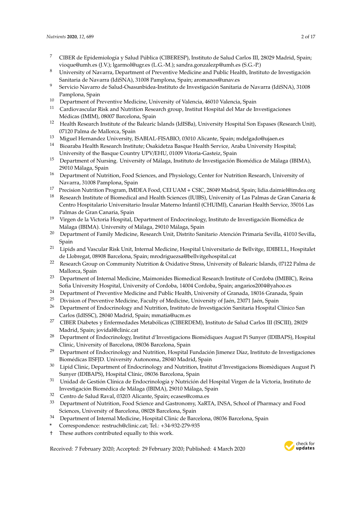- <sup>7</sup> CIBER de Epidemiología y Salud Pública (CIBERESP), Instituto de Salud Carlos III, 28029 Madrid, Spain; vioque@umh.es (J.V.); lgarmol@ugr.es (L.G.-M.); sandra.gonzalezp@umh.es (S.G.-P.)
- <sup>8</sup> University of Navarra, Department of Preventive Medicine and Public Health, Instituto de Investigación Sanitaria de Navarra (IdiSNA), 31008 Pamplona, Spain; aromanos@unav.es
- <sup>9</sup> Servicio Navarro de Salud-Osasunbidea-Instituto de Investigación Sanitaria de Navarra (IdiSNA), 31008 Pamplona, Spain
- <sup>10</sup> Department of Preventive Medicine, University of Valencia, 46010 Valencia, Spain
- <sup>11</sup> Cardiovascular Risk and Nutrition Research group, Institut Hospital del Mar de Investigaciones Médicas (IMIM), 08007 Barcelona, Spain
- <sup>12</sup> Health Research Institute of the Balearic Islands (IdISBa), University Hospital Son Espases (Research Unit), 07120 Palma de Mallorca, Spain
- <sup>13</sup> Miguel Hernandez University, ISABIAL-FISABIO, 03010 Alicante, Spain; mdelgado@ujaen.es
- <sup>14</sup> Bioaraba Health Research Institute; Osakidetza Basque Health Service, Araba University Hospital; University of the Basque Country UPV/EHU, 01009 Vitoria-Gasteiz, Spain
- <sup>15</sup> Department of Nursing. University of Málaga, Instituto de Investigación Biomédica de Málaga (IBIMA), 29010 Málaga, Spain
- <sup>16</sup> Department of Nutrition, Food Sciences, and Physiology, Center for Nutrition Research, University of Navarra, 31008 Pamplona, Spain
- <sup>17</sup> Precision Nutrition Program, IMDEA Food, CEI UAM + CSIC, 28049 Madrid, Spain; lidia.daimiel@imdea.org
- <sup>18</sup> Research Institute of Biomedical and Health Sciences (IUIBS), University of Las Palmas de Gran Canaria & Centro Hospitalario Universitario Insular Materno Infantil (CHUIMI), Canarian Health Service, 35016 Las Palmas de Gran Canaria, Spain
- <sup>19</sup> Virgen de la Victoria Hospital, Department of Endocrinology, Instituto de Investigación Biomédica de Málaga (IBIMA). University of Málaga, 29010 Málaga, Spain
- <sup>20</sup> Department of Family Medicine, Research Unit, Distrito Sanitario Atención Primaria Sevilla, 41010 Sevilla, Spain
- <sup>21</sup> Lipids and Vascular Risk Unit, Internal Medicine, Hospital Universitario de Bellvitge, IDIBELL, Hospitalet de Llobregat, 08908 Barcelona, Spain; mrodriguezsa@bellvitgehospital.cat
- <sup>22</sup> Research Group on Community Nutrition & Oxidative Stress, University of Balearic Islands, 07122 Palma de Mallorca, Spain
- <sup>23</sup> Department of Internal Medicine, Maimonides Biomedical Research Institute of Cordoba (IMIBIC), Reina Sofia University Hospital, University of Cordoba, 14004 Cordoba, Spain; angarios2004@yahoo.es
- <sup>24</sup> Department of Preventive Medicine and Public Health, University of Granada, 18016 Granada, Spain<br><sup>25</sup> Division of Preventive Medicine Forelly of Medicine University of Leín 22071 Lén Spain
- 
- <sup>25</sup> Division of Preventive Medicine, Faculty of Medicine, University of Jaén, 23071 Jaén, Spain<br><sup>26</sup> Department of Endocripology and Nutrition, Instituto de Investigación Sanitaria Hospital C <sup>26</sup> Department of Endocrinology and Nutrition, Instituto de Investigación Sanitaria Hospital Clínico San Carlos (IdISSC), 28040 Madrid, Spain; mmatia@ucm.es
- <sup>27</sup> CIBER Diabetes y Enfermedades Metabólicas (CIBERDEM), Instituto de Salud Carlos III (ISCIII), 28029 Madrid, Spain; jovidal@clinic.cat
- <sup>28</sup> Department of Endocrinology, Institut d'Investigacions Biomédiques August Pi Sunyer (IDIBAPS), Hospital Clinic, University of Barcelona, 08036 Barcelona, Spain
- <sup>29</sup> Department of Endocrinology and Nutrition, Hospital Fundación Jimenez Díaz, Instituto de Investigaciones Biomédicas IISFJD. University Autonoma, 28040 Madrid, Spain
- <sup>30</sup> Lipid Clinic, Department of Endocrinology and Nutrition, Institut d'Investigacions Biomèdiques August Pi Sunyer (IDIBAPS), Hospital Clínic, 08036 Barcelona, Spain
- <sup>31</sup> Unidad de Gestión Clínica de Endocrinología y Nutrición del Hospital Virgen de la Victoria, Instituto de Investigación Biomédica de Málaga (IBIMA), 29010 Málaga, Spain
- <sup>32</sup> Centro de Salud Raval, 03203 Alicante, Spain; ecases@coma.es
- <sup>33</sup> Department of Nutrition, Food Science and Gastronomy, XaRTA, INSA, School of Pharmacy and Food Sciences, University of Barcelona, 08028 Barcelona, Spain
- <sup>34</sup> Department of Internal Medicine, Hospital Clinic de Barcelona, 08036 Barcelona, Spain
- **\*** Correspondence: restruch@clinic.cat; Tel.: +34-932-279-935
- † These authors contributed equally to this work.

Received: 7 February 2020; Accepted: 29 February 2020; Published: 4 March 2020

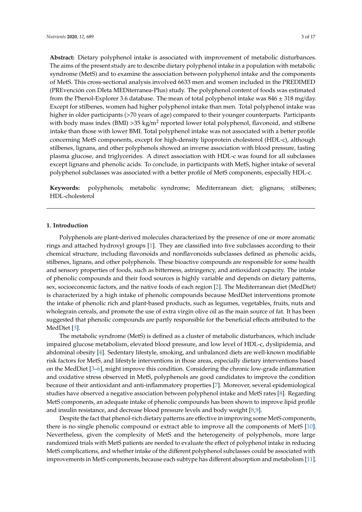**Abstract:** Dietary polyphenol intake is associated with improvement of metabolic disturbances. The aims of the present study are to describe dietary polyphenol intake in a population with metabolic syndrome (MetS) and to examine the association between polyphenol intake and the components of MetS. This cross-sectional analysis involved 6633 men and women included in the PREDIMED (PREvención con DIeta MEDiterranea-Plus) study. The polyphenol content of foods was estimated from the Phenol-Explorer 3.6 database. The mean of total polyphenol intake was  $846 \pm 318$  mg/day. Except for stilbenes, women had higher polyphenol intake than men. Total polyphenol intake was higher in older participants (>70 years of age) compared to their younger counterparts. Participants with body mass index (BMI) >35 kg/m<sup>2</sup> reported lower total polyphenol, flavonoid, and stilbene intake than those with lower BMI. Total polyphenol intake was not associated with a better profile concerning MetS components, except for high-density lipoprotein cholesterol (HDL-c), although stilbenes, lignans, and other polyphenols showed an inverse association with blood pressure, fasting plasma glucose, and triglycerides. A direct association with HDL-c was found for all subclasses except lignans and phenolic acids. To conclude, in participants with MetS, higher intake of several polyphenol subclasses was associated with a better profile of MetS components, especially HDL-c.

**Keywords:** polyphenols; metabolic syndrome; Mediterranean diet; glignans; stilbenes; HDL-cholesterol

## **1. Introduction**

Polyphenols are plant-derived molecules characterized by the presence of one or more aromatic rings and attached hydroxyl groups [\[1\]](#page-13-0). They are classified into five subclasses according to their chemical structure, including flavonoids and nonflavonoids subclasses defined as phenolic acids, stilbenes, lignans, and other polyphenols. These bioactive compounds are responsible for some health and sensory properties of foods, such as bitterness, astringency, and antioxidant capacity. The intake of phenolic compounds and their food sources is highly variable and depends on dietary patterns, sex, socioeconomic factors, and the native foods of each region [\[2\]](#page-13-1). The Mediterranean diet (MedDiet) is characterized by a high intake of phenolic compounds because MedDiet interventions promote the intake of phenolic rich and plant-based products, such as legumes, vegetables, fruits, nuts and wholegrain cereals, and promote the use of extra virgin olive oil as the main source of fat. It has been suggested that phenolic compounds are partly responsible for the beneficial effects attributed to the MedDiet [\[3\]](#page-13-2).

The metabolic syndrome (MetS) is defined as a cluster of metabolic disturbances, which include impaired glucose metabolism, elevated blood pressure, and low level of HDL-c, dyslipidemia, and abdominal obesity [\[4\]](#page-13-3). Sedentary lifestyle, smoking, and unbalanced diets are well-known modifiable risk factors for MetS, and lifestyle interventions in those areas, especially dietary interventions based on the MedDiet [\[3](#page-13-2)[–6\]](#page-14-0), might improve this condition. Considering the chronic low-grade inflammation and oxidative stress observed in MetS, polyphenols are good candidates to improve the condition because of their antioxidant and anti-inflammatory properties [\[7\]](#page-14-1). Moreover, several epidemiological studies have observed a negative association between polyphenol intake and MetS rates [\[8\]](#page-14-2). Regarding MetS components, an adequate intake of phenolic compounds has been shown to improve lipid profile and insulin resistance, and decrease blood pressure levels and body weight [\[8](#page-14-2)[,9\]](#page-14-3).

Despite the fact that phenol-rich dietary patterns are effective in improving some MetS components, there is no single phenolic compound or extract able to improve all the components of MetS [\[10\]](#page-14-4). Nevertheless, given the complexity of MetS and the heterogeneity of polyphenols, more large randomized trials with MetS patients are needed to evaluate the effect of polyphenol intake in reducing MetS complications, and whether intake of the different polyphenol subclasses could be associated with improvements in MetS components, because each subtype has different absorption and metabolism [\[11\]](#page-14-5).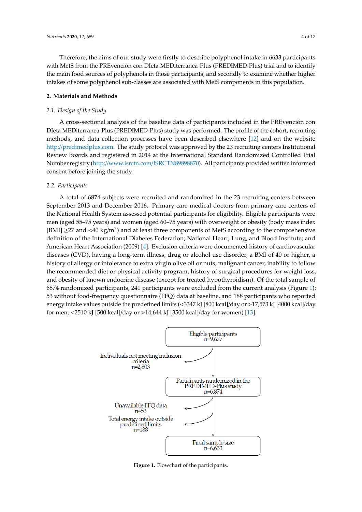Therefore, the aims of our study were firstly to describe polyphenol intake in 6633 participants with MetS from the PREvención con DIeta MEDiterranea-Plus (PREDIMED-Plus) trial and to identify the main food sources of polyphenols in those participants, and secondly to examine whether higher intakes of some polyphenol sub-classes are associated with MetS components in this population.

## **2. Materials and Methods**

## *2.1. Design of the Study*

A cross-sectional analysis of the baseline data of participants included in the PREvención con DIeta MEDiterranea-Plus (PREDIMED-Plus) study was performed. The profile of the cohort, recruiting methods, and data collection processes have been described elsewhere [\[12\]](#page-14-6) and on the website http://[predimedplus.com.](http://predimedplus.com) The study protocol was approved by the 23 recruiting centers Institutional Review Boards and registered in 2014 at the International Standard Randomized Controlled Trial Number registry (http://www.isrctn.com/[ISRCTN89898870\)](http://www.isrctn.com/ISRCTN89898870). All participants provided written informed consent before joining the study.

## *2.2. Participants*

A total of 6874 subjects were recruited and randomized in the 23 recruiting centers between September 2013 and December 2016. Primary care medical doctors from primary care centers of the National Health System assessed potential participants for eligibility. Eligible participants were men (aged 55–75 years) and women (aged 60–75 years) with overweight or obesity (body mass index [BMI]  $\geq$ 27 and <40 kg/m<sup>2</sup>) and at least three components of MetS according to the comprehensive definition of the International Diabetes Federation; National Heart, Lung, and Blood Institute; and American Heart Association (2009) [\[4\]](#page-13-3). Exclusion criteria were documented history of cardiovascular diseases (CVD), having a long-term illness, drug or alcohol use disorder, a BMI of 40 or higher, a history of allergy or intolerance to extra virgin olive oil or nuts, malignant cancer, inability to follow the recommended diet or physical activity program, history of surgical procedures for weight loss, and obesity of known endocrine disease (except for treated hypothyroidism). Of the total sample of 6874 randomized participants, 241 participants were excluded from the current analysis (Figure [1\)](#page-3-0): 53 without food-frequency questionnaire (FFQ) data at baseline, and 188 participants who reported energy intake values outside the predefined limits (<3347 kJ [800 kcal]/day or >17,573 kJ [4000 kcal]/day for men; <2510 kJ [500 kcal]/day or >14,644 kJ [3500 kcal]/day for women) [\[13\]](#page-14-7). are and of physical activity program, history of surgical procedures in a-frequency questionnaire (FFQ) data at baseline, and 188 participants after a four  $\alpha$  shown in the Supplementary Table S1 (Supplementary Table S1).

<span id="page-3-0"></span>

**Figure 1. Figure 1.** Flowchart of the participants. Flowchart of the participants.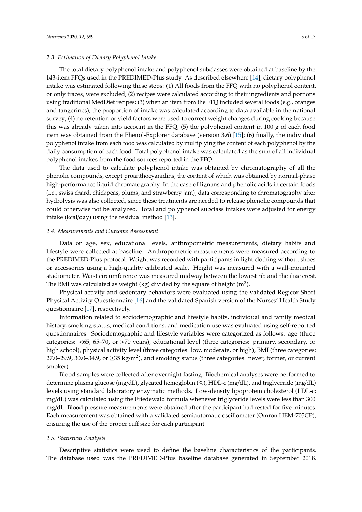### *2.3. Estimation of Dietary Polyphenol Intake*

The total dietary polyphenol intake and polyphenol subclasses were obtained at baseline by the 143-item FFQs used in the PREDIMED-Plus study. As described elsewhere [\[14\]](#page-14-8), dietary polyphenol intake was estimated following these steps: (1) All foods from the FFQ with no polyphenol content, or only traces, were excluded; (2) recipes were calculated according to their ingredients and portions using traditional MedDiet recipes; (3) when an item from the FFQ included several foods (e.g., oranges and tangerines), the proportion of intake was calculated according to data available in the national survey; (4) no retention or yield factors were used to correct weight changes during cooking because this was already taken into account in the FFQ; (5) the polyphenol content in 100 g of each food item was obtained from the Phenol-Explorer database (version 3.6) [\[15\]](#page-14-9); (6) finally, the individual polyphenol intake from each food was calculated by multiplying the content of each polyphenol by the daily consumption of each food. Total polyphenol intake was calculated as the sum of all individual polyphenol intakes from the food sources reported in the FFQ.

The data used to calculate polyphenol intake was obtained by chromatography of all the phenolic compounds, except proanthocyanidins, the content of which was obtained by normal-phase high-performance liquid chromatography. In the case of lignans and phenolic acids in certain foods (i.e., swiss chard, chickpeas, plums, and strawberry jam), data corresponding to chromatography after hydrolysis was also collected, since these treatments are needed to release phenolic compounds that could otherwise not be analyzed. Total and polyphenol subclass intakes were adjusted for energy intake (kcal/day) using the residual method [\[13\]](#page-14-7).

#### *2.4. Measurements and Outcome Assessment*

Data on age, sex, educational levels, anthropometric measurements, dietary habits and lifestyle were collected at baseline. Anthropometric measurements were measured according to the PREDIMED-Plus protocol. Weight was recorded with participants in light clothing without shoes or accessories using a high-quality calibrated scale. Height was measured with a wall-mounted stadiometer. Waist circumference was measured midway between the lowest rib and the iliac crest. The BMI was calculated as weight (kg) divided by the square of height (m<sup>2</sup>).

Physical activity and sedentary behaviors were evaluated using the validated Regicor Short Physical Activity Questionnaire [\[16\]](#page-14-10) and the validated Spanish version of the Nurses' Health Study questionnaire [\[17\]](#page-14-11), respectively.

Information related to sociodemographic and lifestyle habits, individual and family medical history, smoking status, medical conditions, and medication use was evaluated using self-reported questionnaires. Sociodemographic and lifestyle variables were categorized as follows: age (three categories: <65, 65–70, or >70 years), educational level (three categories: primary, secondary, or high school), physical activity level (three categories: low, moderate, or high), BMI (three categories: 27.0–29.9, 30.0–34.9, or  $\geq$ 35 kg/m<sup>2</sup>), and smoking status (three categories: never, former, or current smoker).

Blood samples were collected after overnight fasting. Biochemical analyses were performed to determine plasma glucose (mg/dL), glycated hemoglobin (%), HDL-c (mg/dL), and triglyceride (mg/dL) levels using standard laboratory enzymatic methods. Low-density lipoprotein cholesterol (LDL-c; mg/dL) was calculated using the Friedewald formula whenever triglyceride levels were less than 300 mg/dL. Blood pressure measurements were obtained after the participant had rested for five minutes. Each measurement was obtained with a validated semiautomatic oscillometer (Omron HEM-705CP), ensuring the use of the proper cuff size for each participant.

#### *2.5. Statistical Analysis*

Descriptive statistics were used to define the baseline characteristics of the participants. The database used was the PREDIMED-Plus baseline database generated in September 2018.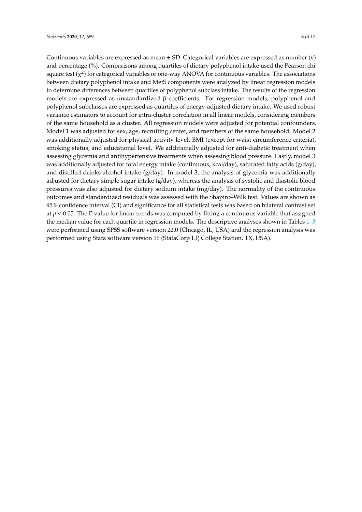Continuous variables are expressed as mean ± SD. Categorical variables are expressed as number (*n*) and percentage (%). Comparisons among quartiles of dietary polyphenol intake used the Pearson chi square test ( $\chi^2$ ) for categorical variables or one-way ANOVA for continuous variables. The associations between dietary polyphenol intake and MetS components were analyzed by linear regression models to determine differences between quartiles of polyphenol subclass intake. The results of the regression models are expressed as unstandardized β-coefficients. For regression models, polyphenol and polyphenol subclasses are expressed as quartiles of energy-adjusted dietary intake. We used robust variance estimators to account for intra-cluster correlation in all linear models, considering members of the same household as a cluster. All regression models were adjusted for potential confounders. Model 1 was adjusted for sex, age, recruiting center, and members of the same household. Model 2 was additionally adjusted for physical activity level, BMI (except for waist circumference criteria), smoking status, and educational level. We additionally adjusted for anti-diabetic treatment when assessing glycemia and antihypertensive treatments when assessing blood pressure. Lastly, model 3 was additionally adjusted for total energy intake (continuous, kcal/day), saturated fatty acids (g/day), and distilled drinks alcohol intake  $(g/day)$ . In model 3, the analysis of glycemia was additionally adjusted for dietary simple sugar intake (g/day), whereas the analysis of systolic and diastolic blood pressures was also adjusted for dietary sodium intake (mg/day). The normality of the continuous outcomes and standardized residuals was assessed with the Shapiro–Wilk test. Values are shown as 95% confidence interval (CI) and significance for all statistical tests was based on bilateral contrast set at *p* < 0.05. The P value for linear trends was computed by fitting a continuous variable that assigned the median value for each quartile in regression models. The descriptive analyses shown in Tables [1–](#page-6-0)[3](#page-8-0) were performed using SPSS software version 22.0 (Chicago, IL, USA) and the regression analysis was performed using Stata software version 16 (StataCorp LP, College Station, TX, USA).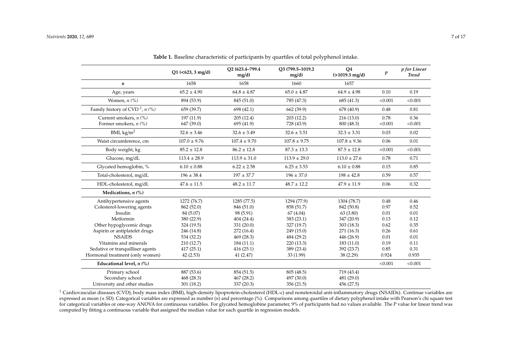|                                              | $Q1$ (<623, 3 mg/d) | O2 (623.4-799.4)<br>mg/d) | O3 (799.5-1019.2)<br>mg/d) | Q <sub>4</sub><br>$(>1019.3 \text{ mg/d})$ | p       | p for Linear<br><b>Trend</b> |
|----------------------------------------------|---------------------|---------------------------|----------------------------|--------------------------------------------|---------|------------------------------|
| $\boldsymbol{n}$                             | 1658                | 1658                      | 1660                       | 1657                                       |         |                              |
| Age, years                                   | $65.2 \pm 4.90$     | $64.8 \pm 4.87$           | $65.0 \pm 4.87$            | $64.9 \pm 4.98$                            | 0.10    | 0.19                         |
| Women, $n$ $(\%)$                            | 894 (53.9)          | 845 (51.0)                | 785 (47.3)                 | 685 (41.3)                                 | < 0.001 | < 0.001                      |
| Family history of CVD <sup>1</sup> , $n$ (%) | 659 (39.7)          | 698 (42.1)                | 662 (39.9)                 | 678 (40.9)                                 | 0.48    | 0.81                         |
| Current smokers, $n$ (%)                     | 197(11.9)           | 205(12.4)                 | 203(12.2)                  | 216(13.0)                                  | 0.78    | 0.36                         |
| Former smokers, $n$ (%)                      | 647 (39.0)          | 695 (41.9)                | 728 (43.9)                 | 800 (48.3)                                 | < 0.001 | < 0.001                      |
| BMI, $\text{kg/m}^2$                         | $32.6 \pm 3.46$     | $32.6 \pm 3.49$           | $32.6 \pm 3.51$            | $32.3 \pm 3.31$                            | 0.03    | 0.02                         |
| Waist circumference, cm                      | $107.0 \pm 9.76$    | $107.4 \pm 9.70$          | $107.8 \pm 9.75$           | $107.8 \pm 9.36$                           | 0.06    | 0.01                         |
| Body weight, kg                              | $85.2 \pm 12.8$     | $86.2 \pm 12.8$           | $87.3 \pm 13.3$            | $87.5 \pm 12.8$                            | < 0.001 | < 0.001                      |
| Glucose, mg/dL                               | $113.4 \pm 28.9$    | $113.9 \pm 31.0$          | $113.9 \pm 29.0$           | $113.0 \pm 27.6$                           | 0.78    | 0.71                         |
| Glycated hemoglobin, %                       | $6.10 \pm 0.88$     | $6.22 \pm 2.58$           | $6.25 \pm 3.53$            | $6.10 \pm 0.88$                            | 0.15    | 0.85                         |
| Total-cholesterol, mg/dL                     | $196 \pm 38.4$      | $197 \pm 37.7$            | $196 \pm 37.0$             | $198 \pm 42.8$                             | 0.59    | 0.57                         |
| HDL-cholesterol, mg/dL                       | $47.6 \pm 11.5$     | $48.2 \pm 11.7$           | $48.7 \pm 12.2$            | $47.9 \pm 11.9$                            | 0.06    | 0.32                         |
| Medications, $n$ $(\%)$                      |                     |                           |                            |                                            |         |                              |
| Antihypertensive agents                      | 1272 (76.7)         | 1285 (77.5)               | 1294 (77.9)                | 1304 (78.7)                                | 0.48    | 0.46                         |
| Colesterol-lowering agents                   | 862 (52.0)          | 846 (51.0)                | 858 (51.7)                 | 842 (50.8)                                 | 0.97    | 0.52                         |
| Insulin                                      | 84 (5.07)           | 98 (5.91)                 | 67 (4.04)                  | 63 (3.80)                                  | 0.01    | 0.01                         |
| Metformin                                    | 380 (22.9)          | 404 (24.4)                | 383 (23.1)                 | 347 (20.9)                                 | 0.13    | 0.12                         |
| Other hypoglycemic drugs                     | 324 (19.5)          | 331 (20.0)                | 327 (19.7)                 | 303(18.3)                                  | 0.62    | 0.35                         |
| Aspirin or antiplatelet drugs                | 246 (14.8)          | 272 (16.4)                | 249(15.0)                  | 271 (16.3)                                 | 0.26    | 0.61                         |
| <b>NSAIDS</b>                                | 534 (32.2)          | 469 (28.3)                | 484 (29.2)                 | 446 (26.9)                                 | 0.01    | 0.01                         |
| Vitamins and minerals                        | 210(12.7)           | 184 (11.1)                | 220(13.3)                  | 183(11.0)                                  | 0.19    | 0.11                         |
| Sedative or tranquilliser agents             | 417(25.1)           | 416(25.1)                 | 389 (23.4)                 | 392 (23.7)                                 | 0.85    | 0.31                         |
| Hormonal treatment (only women)              | 42(2.53)            | 41(2.47)                  | 33 (1.99)                  | 38 (2.29)                                  | 0.924   | 0.935                        |
| Educational level, $n$ $(\%)$                |                     |                           |                            |                                            | < 0.001 | < 0.001                      |
| Primary school                               | 887 (53.6)          | 854 (51.5)                | 805 (48.5)                 | 719 (43.4)                                 |         |                              |
| Secondary school                             | 468 (28.3)          | 467 (28.2)                | 497 (30.0)                 | 481 (29.0)                                 |         |                              |
| University and other studies                 | 301 (18.2)          | 337 (20.3)                | 356 (21.5)                 | 456 (27.5)                                 |         |                              |

**Table 1.** Baseline characteristic of participants by quartiles of total polyphenol intake.

<span id="page-6-0"></span><sup>1</sup> Cardiovascular diseases (CVD), body mass index (BMI), high-density lipoprotein-cholesterol (HDL-c) and nonsteroidal anti-inflammatory drugs (NSAIDs). Continue variables are expressed as mean (± SD). Categorical variables are expressed as number (*n*) and percentage (%). Comparisons among quartiles of dietary polyphenol intake with Pearson's chi square test for categorical variables or one-way ANOVA for continuous variables. For glycated hemoglobine parameter, 9% of participants had no values available. The P value for linear trend was computed by fitting a continuous variable that assigned the median value for each quartile in regression models.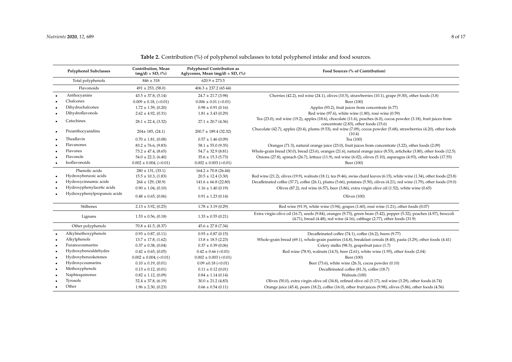<span id="page-7-0"></span>

| <b>Polyphenol Subclasses</b> |                              | Contribution, Mean<br><b>Polyphenol Contribution as</b><br>Aglycones, Mean $(mg/d) \pm SD$ , $(\%)$<br>$(mg/d) \pm SD$ , $(\%)$ |                           | Food Sources (% of Contribution)                                                                                                                                                                                   |  |  |  |  |  |  |
|------------------------------|------------------------------|---------------------------------------------------------------------------------------------------------------------------------|---------------------------|--------------------------------------------------------------------------------------------------------------------------------------------------------------------------------------------------------------------|--|--|--|--|--|--|
|                              | Total polyphenols            | $846 \pm 318$                                                                                                                   | $620.9 \pm 273.5$         |                                                                                                                                                                                                                    |  |  |  |  |  |  |
|                              | Flavonoids                   | $491 \pm 253, (58.0)$                                                                                                           | $406.3 \pm 237.2$ (65.44) |                                                                                                                                                                                                                    |  |  |  |  |  |  |
|                              | Anthocyanins                 | $43.5 \pm 37.8$ , (5.14)                                                                                                        | $24.7 \pm 21.7$ (3.98)    | Cherries (42.2), red wine (24.1), olives (10.5), strawberries (10.1), grape (9.30), other foods (3.8)                                                                                                              |  |  |  |  |  |  |
|                              | Chalcones                    | $0.009 \pm 0.18$ , (<0.01)                                                                                                      | $0.006 \pm 0.01$ (<0.01)  | Beer (100)                                                                                                                                                                                                         |  |  |  |  |  |  |
|                              | Dihydrochalcones             | $1.72 \pm 1.59$ , (0.20)                                                                                                        | $0.98 \pm 0.91$ (0.16)    | Apples (93.2), fruit juices from concentrate (6.77)                                                                                                                                                                |  |  |  |  |  |  |
|                              | Dihydroflavonols             | $2.62 \pm 4.92, (0.31)$                                                                                                         | $1.81 \pm 3.43$ (0.29)    | Red wine (97.6), white wine (1.80), rosé wine (0.59)                                                                                                                                                               |  |  |  |  |  |  |
|                              | Catechines                   | $28.1 \pm 22.4$ , (3.32)                                                                                                        | $27.1 \pm 20.7$ (4.36)    | Tea (23.0), red wine (19.2), apples (18.6), chocolate (11.6), peaches (6.0), cocoa powder (3.18), fruit juices from<br>concentrate (2.83), other foods (15.6)                                                      |  |  |  |  |  |  |
|                              | Proanthocyanidins            | $204 \pm 185$ , (24.1)                                                                                                          | $200.7 \pm 189.4$ (32.32) | Chocolate (42.7), apples (20.4), plums (9.53), red wine (7.09), cocoa powder (5.68), strawberries (4.20), other foods<br>(10.4)                                                                                    |  |  |  |  |  |  |
|                              | Theaflavin                   | $0.70 \pm 1.81, (0.08)$                                                                                                         | $0.57 \pm 1.46$ (0.09)    | Tea (100)                                                                                                                                                                                                          |  |  |  |  |  |  |
|                              | Flavanones                   | $83.2 \pm 76.6$ , (9.83)                                                                                                        | $58.1 \pm 55.0$ (9.35)    | Oranges (71.3), natural orange juice (23.0), fruit juices from concentrate (3.22), other foods (2.09)                                                                                                              |  |  |  |  |  |  |
|                              | Flavones                     | $73.2 \pm 47.4$ , (8.65)                                                                                                        | $54.7 \pm 32.9$ (8.81)    | Whole-grain bread (30.0), bread (23.6), oranges (21.6), natural orange juice (8.53), artichoke (3.80), other foods (12.5).                                                                                         |  |  |  |  |  |  |
|                              | Flavonols                    | $54.0 \pm 22.3$ , (6.40)                                                                                                        | $35.6 \pm 15.3$ (5.73)    | Onions (27.8), spinach (26.7), lettuce (11.9), red wine (6.02), olives (5.10), asparagus (4.93), other foods (17.55)                                                                                               |  |  |  |  |  |  |
|                              | Isoflavonoids                | $0.002 \pm 0.004$ , (<0.01)                                                                                                     | $0.002 \pm 0.003$ (<0.01) | Beer (100)                                                                                                                                                                                                         |  |  |  |  |  |  |
|                              | Phenolic acids               | $280 \pm 131, (33.1)$                                                                                                           | $164.2 \pm 70.8$ (26.44)  |                                                                                                                                                                                                                    |  |  |  |  |  |  |
|                              | Hydroxybenzoic acids         | $15.5 \pm 10.3$ , (1.83)                                                                                                        | $20.5 \pm 12.4$ (3.30)    | Red wine (21.2), olives (19.9), walnuts (18.1), tea (9.46), swiss chard leaves (6.15), white wine (1.34), other foods (23.8)                                                                                       |  |  |  |  |  |  |
|                              | Hydroxycinnamic acids        | $264 \pm 129$ , (30.9)                                                                                                          | $141.6 \pm 66.8$ (22.80)  | Decaffeinated coffee (37.7), coffee (26.1), plums (5.66), potatoes (5.50), olives (4.21), red wine (1.79), other foods (19.0)                                                                                      |  |  |  |  |  |  |
|                              | Hydroxyphenylacetic acids    | $0.90 \pm 1.04$ , (0.10)                                                                                                        | $1.16 \pm 1.40$ (0.19)    | Olives (87.2), red wine (6.57), beer (3.86), extra virgin olive oil (1.52), white wine $(0.65)$                                                                                                                    |  |  |  |  |  |  |
|                              | Hydroxyphenylpropanoic acids | $0.48 \pm 0.65, (0.06)$                                                                                                         | $0.91 \pm 1.23$ (0.14)    | Olives $(100)$                                                                                                                                                                                                     |  |  |  |  |  |  |
|                              | Stilbenes                    | $2.13 \pm 3.92, (0.25)$                                                                                                         | $1.78 \pm 3.19$ (0.29)    | Red wine (91.9), white wine (3.94), grapes (1.60), rosé wine (1.21), other foods (0.07)                                                                                                                            |  |  |  |  |  |  |
|                              | Lignans                      | $1.53 \pm 0.56$ , (0.18)                                                                                                        | $1.33 \pm 0.55$ (0.21)    | Extra virgin olive oil (16.7), seeds (9.84), oranges (9.73), green bean (5.42), pepper (5.32), peaches (4.97), broccoli<br>$(4.71)$ , bread $(4.48)$ , red wine $(4.16)$ , cabbage $(2.77)$ , other foods $(31.9)$ |  |  |  |  |  |  |
|                              | Other polyphenols            | $70.8 \pm 41.5$ , (8.37)                                                                                                        | $45.6 \pm 27.8$ (7.34)    |                                                                                                                                                                                                                    |  |  |  |  |  |  |
|                              | Alkylmethoxyphenols          | $0.93 \pm 0.87, (0.11)$                                                                                                         | $0.93 \pm 0.87$ (0.15)    | Decaffeinated coffee (74.1), coffee (16.2), beers (9.77)                                                                                                                                                           |  |  |  |  |  |  |
|                              | Alkylphenols                 | $13.7 \pm 17.8$ , (1.62)                                                                                                        | $13.8 \pm 18.5$ (2.23)    | Whole-grain bread (69.1), whole-grain pastries (14.8), breakfast cereals (8.40), pasta (3.29), other foods (4.41)                                                                                                  |  |  |  |  |  |  |
|                              | Furanocoumarins              | $0.37 \pm 0.38$ , (0.04)                                                                                                        | $0.37 \pm 0.39$ (0.06)    | Celery stalks (98.3), grapefruit juice (1.7)                                                                                                                                                                       |  |  |  |  |  |  |
|                              | Hydroxybenzaldehydes         | $0.42 \pm 0.65, (0.05)$                                                                                                         | $0.42 \pm 0.66$ (<0.01)   | Red wine (78.9), walnuts (14.5), beer (2.61), white wine (1.95), other foods (2.04)                                                                                                                                |  |  |  |  |  |  |
|                              | Hydroxybenzoketones          | $0.002 \pm 0.004$ , (<0.01)                                                                                                     | $0.002 \pm 0.003$ (<0.01) | Beer (100)                                                                                                                                                                                                         |  |  |  |  |  |  |
| ٠                            | Hydroxycoumarins             | $0.10 \pm 0.19, (0.01)$                                                                                                         | $0.09 \pm 0.18$ (<0.01)   | Beer (73.6), white wine (26.3), cocoa powder (0.10)                                                                                                                                                                |  |  |  |  |  |  |
|                              | Methoxyphenols               | $0.13 \pm 0.12, (0.01)$                                                                                                         | $0.11 \pm 0.12$ (0.01)    | Decaffeinated coffee (81.3), coffee (18.7)                                                                                                                                                                         |  |  |  |  |  |  |
|                              | Naphtoquinones               | $0.82 \pm 1.12, (0.09)$                                                                                                         | $0.84 \pm 1.14(0.14)$     | Walnuts (100)                                                                                                                                                                                                      |  |  |  |  |  |  |
|                              | Tyrosols                     | $52.4 \pm 37.8$ , (6.19)                                                                                                        | $30.0 \pm 21.2$ (4.83)    | Olives (50.0), extra virgin olive oil (34.8), refined olive oil (5.17), red wine (3.29), other foods (6.74)                                                                                                        |  |  |  |  |  |  |
|                              | Other                        | $1.96 \pm 2.30, (0.23)$                                                                                                         | $0.66 \pm 0.54$ (0.11)    | Orange juice (45.4), pears (18.2), coffee (16.0), other fruit juices (9.98), olives (5.86), other foods (4.56)                                                                                                     |  |  |  |  |  |  |

**Table 2.** Contribution (%) of polyphenol subclasses to total polyphenol intake and food sources.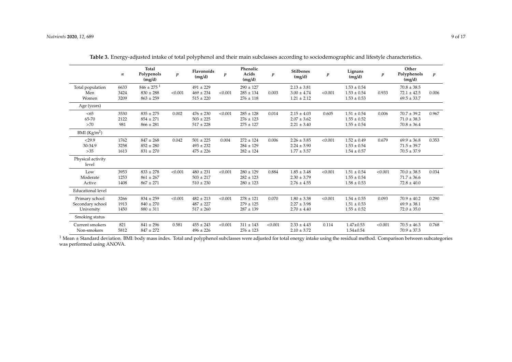|                                    | n            | <b>Total</b><br>Polypenols<br>(mg/d)        | $\boldsymbol{p}$ | Flavonoids<br>(mg/d)           | $\boldsymbol{p}$ | Phenolic<br>Acids<br>(mg/d)    | $\boldsymbol{p}$ | <b>Stilbenes</b><br>(mg/d)         | $\boldsymbol{p}$ | Lignans<br>(mg/d)                  | $\boldsymbol{p}$ | Other<br>Polyphenols<br>(mg/d)     | $\boldsymbol{p}$ |
|------------------------------------|--------------|---------------------------------------------|------------------|--------------------------------|------------------|--------------------------------|------------------|------------------------------------|------------------|------------------------------------|------------------|------------------------------------|------------------|
| Total population<br>Men            | 6633<br>3424 | $846 \pm 275$ <sup>1</sup><br>$830 \pm 288$ | < 0.001          | $491 \pm 229$<br>$469 \pm 234$ | < 0.001          | $290 \pm 127$<br>$285 \pm 134$ | 0.003            | $2.13 \pm 3.81$<br>$3.00 \pm 4.74$ | < 0.001          | $1.53 \pm 0.54$<br>$1.53 \pm 0.54$ | 0.933            | $70.8 + 38.5$<br>$72.1 \pm 42.5$   | 0.006            |
| Women                              | 3209         | $863 \pm 259$                               |                  | $515 \pm 220$                  |                  | $276 \pm 118$                  |                  | $1.21 \pm 2.12$                    |                  | $1.53 \pm 0.53$                    |                  | $69.5 \pm 33.7$                    |                  |
| Age (years)                        |              |                                             |                  |                                |                  |                                |                  |                                    |                  |                                    |                  |                                    |                  |
| < 65                               | 3530         | $835 \pm 275$                               | 0.002            | $476 \pm 230$                  | < 0.001          | $285 \pm 128$                  | 0.014            | $2.15 \pm 4.03$                    | 0.605            | $1.51 \pm 0.54$                    | 0.006            | $70.7 \pm 39.2$                    | 0.967            |
| 65-70<br>>70                       | 2122<br>981  | $854 \pm 271$<br>$866 \pm 281$              |                  | $503 \pm 225$<br>$517 \pm 228$ |                  | $276 + 123$<br>$275 \pm 127$   |                  | $2.07 \pm 3.62$<br>$2.21 \pm 3.40$ |                  | $1.55 \pm 0.52$<br>$1.55 \pm 0.54$ |                  | $71.0 \pm 38.3$<br>$70.8 \pm 36.4$ |                  |
| BMI $(Kg/m2)$                      |              |                                             |                  |                                |                  |                                |                  |                                    |                  |                                    |                  |                                    |                  |
| < 29.9                             | 1762         | $847 \pm 268$                               | 0.042            | $501 \pm 225$                  | 0.004            | $272 + 124$                    | 0.006            | $2.26 \pm 3.85$                    | < 0.001          | $1.52 \pm 0.49$                    | 0.679            | $69.9 \pm 36.8$                    | 0.353            |
| 30-34.9<br>>35                     | 3258<br>1613 | $852 \pm 280$<br>$831 \pm 270$              |                  | $493 \pm 232$<br>$475 \pm 226$ |                  | $284 + 129$<br>$282 \pm 124$   |                  | $2.24 + 3.90$<br>$1.77 \pm 3.57$   |                  | $1.53 \pm 0.54$<br>$1.54 \pm 0.57$ |                  | $71.5 \pm 39.7$<br>$70.5 \pm 37.9$ |                  |
| Physical activity<br>level         |              |                                             |                  |                                |                  |                                |                  |                                    |                  |                                    |                  |                                    |                  |
| Low                                | 3953         | $833 \pm 278$                               | < 0.001          | $480 \pm 231$                  | < 0.001          | $280 + 129$                    | 0.884            | $1.85 + 3.48$                      | < 0.001          | $1.51 \pm 0.54$                    | < 0.001          | $70.0 \pm 38.5$                    | 0.034            |
| Moderate<br>Active                 | 1253<br>1408 | $861 \pm 267$<br>$867 \pm 271$              |                  | $503 \pm 217$<br>$510 \pm 230$ |                  | $282 \pm 123$<br>$280 \pm 123$ |                  | $2.30 \pm 3.79$<br>$2.76 \pm 4.55$ |                  | $1.55 \pm 0.54$<br>$1.58 \pm 0.53$ |                  | $71.7 \pm 36.6$<br>$72.8 \pm 40.0$ |                  |
| <b>Educational</b> level           |              |                                             |                  |                                |                  |                                |                  |                                    |                  |                                    |                  |                                    |                  |
| Primary school<br>Secondary school | 3266<br>1913 | $834 \pm 259$<br>$840 \pm 270$              | < 0.001          | $482 \pm 213$<br>$487 \pm 227$ | < 0.001          | $278 + 121$<br>$279 + 125$     | 0.070            | $1.80 \pm 3.38$<br>$2.27 \pm 3.98$ | < 0.001          | $1.54 \pm 0.55$<br>$1.51 \pm 0.53$ | 0.093            | $70.9 \pm 40.2$<br>$69.9 \pm 38.1$ | 0.290            |
| University                         | 1450         | $880 \pm 311$                               |                  | $517 \pm 260$                  |                  | $287 \pm 139$                  |                  | $2.70 \pm 4.40$                    |                  | $1.55 \pm 0.52$                    |                  | $72.0 \pm 35.0$                    |                  |
| Smoking status                     |              |                                             |                  |                                |                  |                                |                  |                                    |                  |                                    |                  |                                    |                  |
| Current smokers<br>Non-smokers     | 821<br>5812  | $841 \pm 296$<br>$847 \pm 272$              | 0.581            | $455 \pm 243$<br>$496 \pm 226$ | < 0.001          | $311 \pm 143$<br>$276 \pm 123$ | < 0.001          | $2.33 \pm 4.43$<br>$2.10 \pm 3.72$ | 0.114            | $1.47 \pm 0.53$<br>$1.54 \pm 0.54$ | < 0.001          | $70.5 \pm 46.3$<br>$70.9 \pm 37.3$ | 0.768            |

**Table 3.** Energy-adjusted intake of total polyphenol and their main subclasses according to sociodemographic and lifestyle characteristics.

<span id="page-8-0"></span> $^1$  Mean  $\pm$  Standard deviation. BMI: body mass index. Total and polyphenol subclasses were adjusted for total energy intake using the residual method. Comparison between subcategories was performed using ANOVA.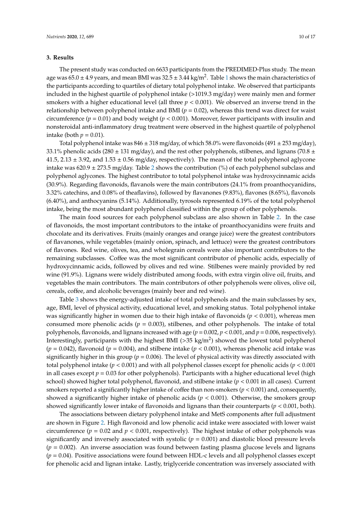## **3. Results**

The present study was conducted on 6633 participants from the PREDIMED-Plus study. The mean age was  $65.0 \pm 4.9$  years, and mean BMI was  $32.5 \pm 3.44$  kg/m<sup>2</sup>. Table [1](#page-6-0) shows the main characteristics of the participants according to quartiles of dietary total polyphenol intake. We observed that participants included in the highest quartile of polyphenol intake (>1019.3 mg/day) were mainly men and former smokers with a higher educational level (all three  $p < 0.001$ ). We observed an inverse trend in the relationship between polyphenol intake and BMI ( $p = 0.02$ ), whereas this trend was direct for waist circumference ( $p = 0.01$ ) and body weight ( $p < 0.001$ ). Moreover, fewer participants with insulin and nonsteroidal anti-inflammatory drug treatment were observed in the highest quartile of polyphenol intake (both  $p = 0.01$ ).

Total polyphenol intake was  $846 \pm 318$  mg/day, of which 58.0% were flavonoids (491  $\pm$  253 mg/day), 33.1% phenolic acids (280  $\pm$  131 mg/day), and the rest other polyphenols, stilbenes, and lignans (70.8  $\pm$ 41.5,  $2.13 \pm 3.92$ , and  $1.53 \pm 0.56$  mg/day, respectively). The mean of the total polyphenol aglycone intake was  $620.9 \pm 273.5$  $620.9 \pm 273.5$  $620.9 \pm 273.5$  mg/day. Table 2 shows the contribution (%) of each polyphenol subclass and polyphenol aglycones. The highest contributor to total polyphenol intake was hydroxycinnamic acids (30.9%). Regarding flavonoids, flavanols were the main contributors (24.1% from proanthocyanidins, 3.32% catechins, and 0.08% of theaflavins), followed by flavanones (9.83%), flavones (8.65%), flavonols (6.40%), and anthocyanins (5.14%). Additionally, tyrosols represented 6.19% of the total polyphenol intake, being the most abundant polyphenol classified within the group of other polyphenols.

The main food sources for each polyphenol subclass are also shown in Table [2.](#page-7-0) In the case of flavonoids, the most important contributors to the intake of proanthocyanidins were fruits and chocolate and its derivatives. Fruits (mainly oranges and orange juice) were the greatest contributors of flavanones, while vegetables (mainly onion, spinach, and lettuce) were the greatest contributors of flavones. Red wine, olives, tea, and wholegrain cereals were also important contributors to the remaining subclasses. Coffee was the most significant contributor of phenolic acids, especially of hydroxycinnamic acids, followed by olives and red wine. Stilbenes were mainly provided by red wine (91.9%). Lignans were widely distributed among foods, with extra virgin olive oil, fruits, and vegetables the main contributors. The main contributors of other polyphenols were olives, olive oil, cereals, coffee, and alcoholic beverages (mainly beer and red wine).

Table [3](#page-8-0) shows the energy-adjusted intake of total polyphenols and the main subclasses by sex, age, BMI, level of physical activity, educational level, and smoking status. Total polyphenol intake was significantly higher in women due to their high intake of flavonoids (*p* < 0.001), whereas men consumed more phenolic acids  $(p = 0.003)$ , stilbenes, and other polyphenols. The intake of total polyphenols, flavonoids, and lignans increased with age (*p* = 0.002, *p* < 0.001, and *p* = 0.006, respectively). Interestingly, participants with the highest BMI (>35 kg/m<sup>2</sup>) showed the lowest total polyphenol  $(p = 0.042)$ , flavonoid  $(p = 0.004)$ , and stilbene intake  $(p < 0.001)$ , whereas phenolic acid intake was significantly higher in this group ( $p = 0.006$ ). The level of physical activity was directly associated with total polyphenol intake (*p* < 0.001) and with all polyphenol classes except for phenolic acids (*p* < 0.001 in all cases except  $p = 0.03$  for other polyphenols). Participants with a higher educational level (high school) showed higher total polyphenol, flavonoid, and stilbene intake (*p* < 0.001 in all cases). Current smokers reported a significantly higher intake of coffee than non-smokers (*p* < 0.001) and, consequently, showed a significantly higher intake of phenolic acids ( $p < 0.001$ ). Otherwise, the smokers group showed significantly lower intake of flavonoids and lignans than their counterparts (*p* < 0.001, both).

The associations between dietary polyphenol intake and MetS components after full adjustment are shown in Figure [2.](#page-10-0) High flavonoid and low phenolic acid intake were associated with lower waist circumference ( $p = 0.02$  and  $p < 0.001$ , respectively). The highest intake of other polyphenols was significantly and inversely associated with systolic ( $p = 0.001$ ) and diastolic blood pressure levels  $(p = 0.002)$ . An inverse association was found between fasting plasma glucose levels and lignans (*p* = 0.04). Positive associations were found between HDL-c levels and all polyphenol classes except for phenolic acid and lignan intake. Lastly, triglyceride concentration was inversely associated with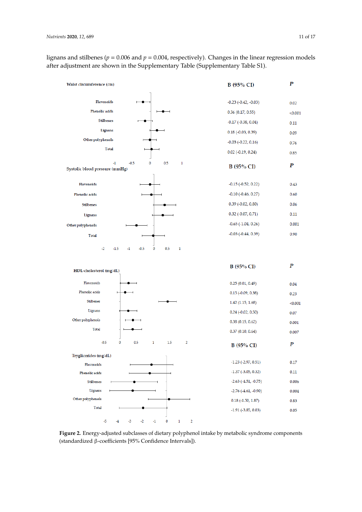lignans and stilbenes (*p* = 0.006 and *p* = 0.004, respectively). Changes in the linear regression models after adjustment are shown in the Supplementary Table (Supplementary Table S1).

<span id="page-10-0"></span>

**Figure 2.** Energy-adjusted subclasses of dietary polyphenol intake by metabolic syndrome **Figure 2.** Energy-adjusted subclasses of dietary polyphenol intake by metabolic syndrome components components (standardized β-coefficients [95% Confidence Intervals]). (standardized β-coefficients [95% Confidence Intervals]).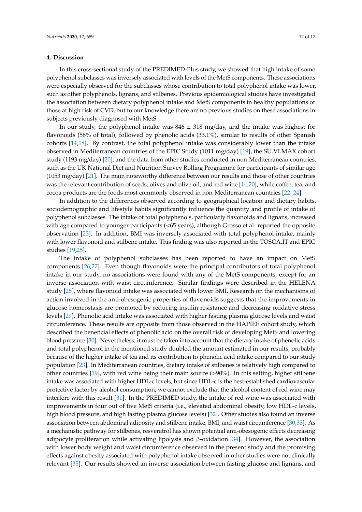## **4. Discussion**

In this cross-sectional study of the PREDIMED-Plus study, we showed that high intake of some polyphenol subclasses was inversely associated with levels of the MetS components. These associations were especially observed for the subclasses whose contribution to total polyphenol intake was lower, such as other polyphenols, lignans, and stilbenes. Previous epidemiological studies have investigated the association between dietary polyphenol intake and MetS components in healthy populations or those at high risk of CVD, but to our knowledge there are no previous studies on these associations in subjects previously diagnosed with MetS.

In our study, the polyphenol intake was  $846 \pm 318$  mg/day, and the intake was highest for flavonoids (58% of total), followed by phenolic acids (33.1%), similar to results of other Spanish cohorts [\[14,](#page-14-8)[18\]](#page-14-12). By contrast, the total polyphenol intake was considerably lower than the intake observed in Mediterranean countries of the EPIC Study (1011 mg/day) [\[19\]](#page-14-13), the SU.VI.MAX cohort study (1193 mg/day) [\[20\]](#page-14-14), and the data from other studies conducted in non-Mediterranean countries, such as the UK National Diet and Nutrition Survey Rolling Programme for participants of similar age (1053 mg/day) [\[21\]](#page-14-15). The main noteworthy difference between our results and those of other countries was the relevant contribution of seeds, olives and olive oil, and red wine [\[14,](#page-14-8)[20\]](#page-14-14), while coffee, tea, and cocoa products are the foods most commonly observed in non-Mediterranean countries [\[22](#page-14-16)[–24\]](#page-15-0).

In addition to the differences observed according to geographical location and dietary habits, sociodemographic and lifestyle habits significantly influence the quantity and profile of intake of polyphenol subclasses. The intake of total polyphenols, particularly flavonoids and lignans, increased with age compared to younger participants (<65 years), although Grosso et al. reported the opposite observation [\[23\]](#page-14-17). In addition, BMI was inversely associated with total polyphenol intake, mainly with lower flavonoid and stilbene intake. This finding was also reported in the TOSCA.IT and EPIC studies [\[19](#page-14-13)[,25\]](#page-15-1).

The intake of polyphenol subclasses has been reported to have an impact on MetS components [\[26,](#page-15-2)[27\]](#page-15-3). Even though flavonoids were the principal contributors of total polyphenol intake in our study, no associations were found with any of the MetS components, except for an inverse association with waist circumference. Similar findings were described in the HELENA study [\[28\]](#page-15-4), where flavonoid intake was associated with lower BMI. Research on the mechanisms of action involved in the anti-obesogenic properties of flavonoids suggests that the improvements in glucose homeostasis are promoted by reducing insulin resistance and decreasing oxidative stress levels [\[29\]](#page-15-5). Phenolic acid intake was associated with higher fasting plasma glucose levels and waist circumference. These results are opposite from those observed in the HAPIEE cohort study, which described the beneficial effects of phenolic acid on the overall risk of developing MetS and lowering blood pressure [\[30\]](#page-15-6). Nevertheless, it must be taken into account that the dietary intake of phenolic acids and total polyphenol in the mentioned study doubled the amount estimated in our results, probably because of the higher intake of tea and its contribution to phenolic acid intake compared to our study population [\[23\]](#page-14-17). In Mediterranean countries, dietary intake of stilbenes is relatively high compared to other countries [\[19\]](#page-14-13), with red wine being their main source (>90%). In this setting, higher stilbene intake was associated with higher HDL-c levels, but since HDL-c is the best-established cardiovascular protective factor by alcohol consumption, we cannot exclude that the alcohol content of red wine may interfere with this result [\[31\]](#page-15-7). In the PREDIMED study, the intake of red wine was associated with improvements in four out of five MetS criteria (i.e., elevated abdominal obesity, low HDL-c levels, high blood pressure, and high fasting plasma glucose levels) [\[32\]](#page-15-8). Other studies also found an inverse association between abdominal adiposity and stilbene intake, BMI, and waist circumference [\[30,](#page-15-6)[33\]](#page-15-9). As a mechanistic pathway for stilbenes, resveratrol has shown potential anti-obesogenic effects decreasing adipocyte proliferation while activating lipolysis and β-oxidation [\[34\]](#page-15-10). However, the association with lower body weight and waist circumference observed in the present study and the promising effects against obesity associated with polyphenol intake observed in other studies were not clinically relevant [\[35\]](#page-15-11). Our results showed an inverse association between fasting glucose and lignans, and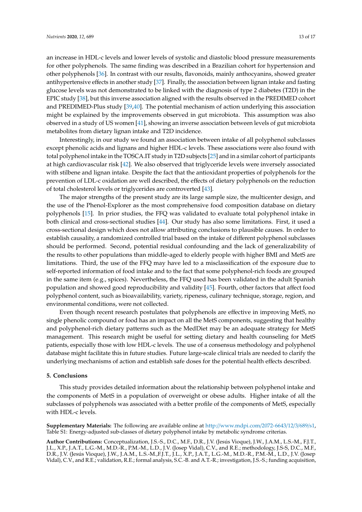an increase in HDL-c levels and lower levels of systolic and diastolic blood pressure measurements for other polyphenols. The same finding was described in a Brazilian cohort for hypertension and other polyphenols [\[36\]](#page-15-12). In contrast with our results, flavonoids, mainly anthocyanins, showed greater antihypertensive effects in another study [\[37\]](#page-15-13). Finally, the association between lignan intake and fasting glucose levels was not demonstrated to be linked with the diagnosis of type 2 diabetes (T2D) in the EPIC study [\[38\]](#page-15-14), but this inverse association aligned with the results observed in the PREDIMED cohort and PREDIMED-Plus study [\[39](#page-15-15)[,40\]](#page-15-16). The potential mechanism of action underlying this association might be explained by the improvements observed in gut microbiota. This assumption was also observed in a study of US women [\[41\]](#page-15-17), showing an inverse association between levels of gut microbiota metabolites from dietary lignan intake and T2D incidence.

Interestingly, in our study we found an association between intake of all polyphenol subclasses except phenolic acids and lignans and higher HDL-c levels. These associations were also found with total polyphenol intake in the TOSCA.IT study in T2D subjects [\[25\]](#page-15-1) and in a similar cohort of participants at high cardiovascular risk [\[42\]](#page-16-0). We also observed that triglyceride levels were inversely associated with stilbene and lignan intake. Despite the fact that the antioxidant properties of polyphenols for the prevention of LDL-c oxidation are well described, the effects of dietary polyphenols on the reduction of total cholesterol levels or triglycerides are controverted [\[43\]](#page-16-1).

The major strengths of the present study are its large sample size, the multicenter design, and the use of the Phenol-Explorer as the most comprehensive food composition database on dietary polyphenols [\[15\]](#page-14-9). In prior studies, the FFQ was validated to evaluate total polyphenol intake in both clinical and cross-sectional studies [\[44\]](#page-16-2). Our study has also some limitations. First, it used a cross-sectional design which does not allow attributing conclusions to plausible causes. In order to establish causality, a randomized controlled trial based on the intake of different polyphenol subclasses should be performed. Second, potential residual confounding and the lack of generalizability of the results to other populations than middle-aged to elderly people with higher BMI and MetS are limitations. Third, the use of the FFQ may have led to a misclassification of the exposure due to self-reported information of food intake and to the fact that some polyphenol-rich foods are grouped in the same item (e.g., spices). Nevertheless, the FFQ used has been validated in the adult Spanish population and showed good reproducibility and validity [\[45\]](#page-16-3). Fourth, other factors that affect food polyphenol content, such as bioavailability, variety, ripeness, culinary technique, storage, region, and environmental conditions, were not collected.

Even though recent research postulates that polyphenols are effective in improving MetS, no single phenolic compound or food has an impact on all the MetS components, suggesting that healthy and polyphenol-rich dietary patterns such as the MedDiet may be an adequate strategy for MetS management. This research might be useful for setting dietary and health counseling for MetS patients, especially those with low HDL-c levels. The use of a consensus methodology and polyphenol database might facilitate this in future studies. Future large-scale clinical trials are needed to clarify the underlying mechanisms of action and establish safe doses for the potential health effects described.

## **5. Conclusions**

This study provides detailed information about the relationship between polyphenol intake and the components of MetS in a population of overweight or obese adults. Higher intake of all the subclasses of polyphenols was associated with a better profile of the components of MetS, especially with HDL-c levels.

**Supplementary Materials:** The following are available online at http://[www.mdpi.com](http://www.mdpi.com/2072-6643/12/3/689/s1)/2072-6643/12/3/689/s1, Table S1: Energy-adjusted sub-classes of dietary polyphenol intake by metabolic syndrome criterias.

**Author Contributions:** Conceptualization, J.S.-S., D.C., M.F., D.R., J.V. (Jesús Vioque), J.W., J.A.M., L.S.-M., F.J.T., J.L., X.P., J.A.T., L.G.-M., M.D.-R., P.M.-M., L.D., J.V. (Josep Vidal), C.V., and R.E.; methodology, J.S-S, D.C., M.F., D.R., J.V. (Jesús Vioque), J.W., J.A.M., L.S.-M.,F.J.T., J.L., X.P., J.A.T., L.G.-M., M.D.-R., P.M.-M., L.D., J.V. (Josep Vidal), C.V., and R.E.; validation, R.E.; formal analysis, S.C.-B. and A.T.-R.; investigation, J.S.-S.; funding acquisition,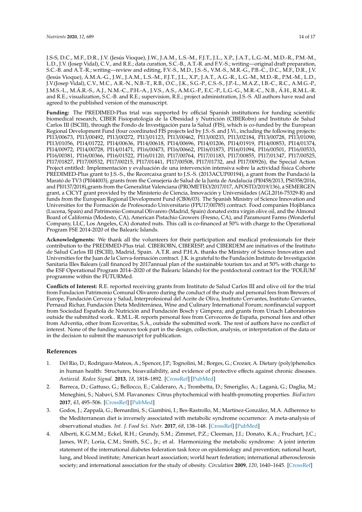J.S-S, D.C., M.F., D.R., J.V. (Jesús Vioque), J.W., J.A.M., L.S.-M., F.J.T., J.L., X.P., J.A.T., L.G.-M., M.D.-R., P.M.-M., L.D., J.V. (Josep Vidal), C.V., and R.E.; data curation, S.C.-B., A.T.-R. and F.V.-S.; writing—original draft preparation, S.C.-B. and A.T.-R.; writing—review and editing, F.V.-S., M.D., J.S.-S., V.M.-S., M.R.-G., P.B.-C., D.C., M.F., D.R., J.V. (Jesús Vioque), Á.M.A.-G., J.W., J.A.M., L.S.-M., F.J.T., J.L., X.P., J.A.T., A.G.-R., L.G.-M., M.D.-R., P.M.-M., L.D., J.V.(Josep Vidal), C.V., M.C., A.R.-N., N.B.-T., R.B., O.C., J.K., S.G.-P., C.S.-S., J.P.-L., M.A.Z., I.B.-C., R.C., A.M.G.-P., J.M.S.-L., M.Á.R.-S., A.J., N.M.-C., P.H.-A., J.V.S., A.S., A.M.G.-P., E.C.-P., L.G.-G., M.R.-C., N.B., Á.H., R.M.L.-R. and R.E.; visualization, S.C.-B. and R.E.; supervision, R.E.; project administration, J.S.-S. All authors have read and agreed to the published version of the manuscript.

**Funding:** The PREDIMED-Plus trial was supported by official Spanish institutions for funding scientific biomedical research, CIBER Fisiopatología de la Obesidad y Nutrición (CIBERobn) and Instituto de Salud Carlos III (ISCIII), through the Fondo de Investigación para la Salud (FIS), which is co-funded by the European Regional Development Fund (four coordinated FIS projects led by J.S.-S. and J.Vi., including the following projects: PI13/00673, PI13/00492, PI13/00272, PI13/01123, PI13/00462, PI13/00233, PI13/02184, PI13/00728, PI13/01090, PI13/01056, PI14/01722, PI14/00636, PI14/00618, PI14/00696, PI14/01206, PI14/01919, PI14/00853, PI14/01374, PI14/00972, PI14/00728, PI14/01471, PI16/00473, PI16/00662, PI16/01873, PI16/01094, PI16/00501, PI16/00533, PI16/00381, PI16/00366, PI16/01522, PI16/01120, PI17/00764, PI17/01183, PI17/00855, PI17/01347, PI17/00525, PI17/01827, PI17/00532, PI17/00215, PI17/01441, PI17/00508, PI17/01732, and PI17/00926), the Special Action Project entitled: Implementación y evaluación de una intervención intensiva sobre la actividad física Cohorte PREDIMED-Plus grant to J.S.-S., the Recercaixa grant to J.S.-S. (2013ACUP00194), a grant from the Fundació la Marató de TV3 (PI044003), grants from the Consejería de Salud de la Junta de Andalucía (PI0458/2013, PS0358/2016, and PI0137/2018),grants from the Generalitat Valenciana (PROMETEO/2017/017, APOSTD/2019/136), a SEMERGEN grant, a CICYT grant provided by the Ministerio de Ciencia, Innovación y Universidades (AGL2016-75329-R) and funds from the European Regional Development Fund (CB06/03). The Spanish Ministry of Science Innovation and Universities for the Formación de Profesorado Universitario (FPU17/00785) contract. Food companies Hojiblanca (Lucena, Spain) and Patrimonio Comunal Olivarero (Madrid, Spain) donated extra virgin olive oil, and the Almond Board of California (Modesto, CA), American Pistachio Growers (Fresno, CA), and Paramount Farms (Wonderful Company, LLC, Los Angeles, CA) donated nuts. This call is co-financed at 50% with charge to the Operational Program FSE 2014-2020 of the Balearic Islands.

**Acknowledgments:** We thank all the volunteers for their participation and medical professionals for their contribution to the PREDIMED-Plus trial. CIBEROBN, CIBERESP, and CIBERDEM are initiatives of the Instituto de Salud Carlos III (ISCIII), Madrid, Spain. A.T.R. and P.H.A. thanks the Ministry of Science Innovation and Universities for the Juan de la Cierva-formación contract. J.K. is grateful to the Fundación Instituto de Investigación Sanitaria Illes Balears (call financed by 2017annual plan of the sustainable tourism tax and at 50% with charge to the ESF Operational Program 2014–2020 of the Balearic Islands) for the postdoctoral contract for the 'FOLIUM' programme within the FUTURMed.

**Conflicts of Interest:** R.E. reported receiving grants from Instituto de Salud Carlos III and olive oil for the trial from Fundacion Patrimonio Comunal Olivarero during the conduct of the study and personal fees from Brewers of Europe, Fundación Cerveza y Salud, Interprofesional del Aceite de Oliva, Instituto Cervantes, Instituto Cervantes, Pernaud Richar, Fundación Dieta Mediterránea, Wine and Culinary International Forum; nonfinancial support from Sociedad Española de Nutrición and Fundación Bosch y Gimpera; and grants from Uriach Laboratories outside the submitted work.. R.M.L.-R. reports personal fees from Cerveceros de España, personal fees and other from Adventia, other from Ecoveritas, S.A., outside the submitted work. The rest of authors have no conflict of interest. None of the funding sources took part in the design, collection, analysis, or interpretation of the data or in the decision to submit the manuscript for publication.

## **References**

- <span id="page-13-0"></span>1. Del Rio, D.; Rodriguez-Mateos, A.; Spencer, J.P.; Tognolini, M.; Borges, G.; Crozier, A. Dietary (poly)phenolics in human health: Structures, bioavailability, and evidence of protective effects against chronic diseases. *Antioxid. Redox Signal.* **2013**, *18*, 1818–1892. [\[CrossRef\]](http://dx.doi.org/10.1089/ars.2012.4581) [\[PubMed\]](http://www.ncbi.nlm.nih.gov/pubmed/22794138)
- <span id="page-13-1"></span>2. Barreca, D.; Gattuso, G.; Bellocco, E.; Calderaro, A.; Trombetta, D.; Smeriglio, A.; Laganà, G.; Daglia, M.; Meneghini, S.; Nabavi, S.M. Flavanones: Citrus phytochemical with health-promoting properties. *BioFactors* **2017**, *43*, 495–506. [\[CrossRef\]](http://dx.doi.org/10.1002/biof.1363) [\[PubMed\]](http://www.ncbi.nlm.nih.gov/pubmed/28497905)
- <span id="page-13-2"></span>3. Godos, J.; Zappalà, G.; Bernardini, S.; Giambini, I.; Bes-Rastrollo, M.; Martínez-González, M.A. Adherence to the Mediterranean diet is inversely associated with metabolic syndrome occurrence: A meta-analysis of observational studies. *Int. J. Food Sci. Nutr.* **2017**, *68*, 138–148. [\[CrossRef\]](http://dx.doi.org/10.1080/09637486.2016.1221900) [\[PubMed\]](http://www.ncbi.nlm.nih.gov/pubmed/27557591)
- <span id="page-13-3"></span>4. Alberti, K.G.M.M.; Eckel, R.H.; Grundy, S.M.; Zimmet, P.Z.; Cleeman, J.I.; Donato, K.A.; Fruchart, J.C.; James, W.P.; Loria, C.M.; Smith, S.C., Jr.; et al. Harmonizing the metabolic syndrome: A joint interim statement of the international diabetes federation task force on epidemiology and prevention; national heart, lung, and blood institute; American heart association; world heart federation; international atherosclerosis society; and international association for the study of obesity. *Circulation* **2009**, *120*, 1640–1645. [\[CrossRef\]](http://dx.doi.org/10.1161/CIRCULATIONAHA.109.192644)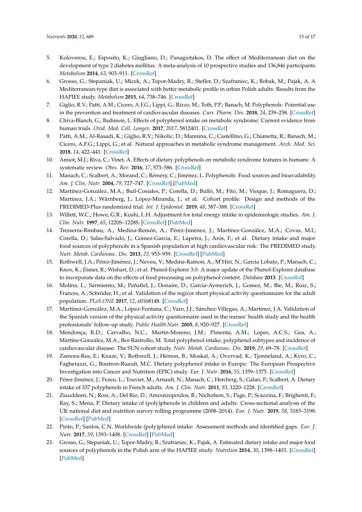- 5. Koloverou, E.; Esposito, K.; Giugliano, D.; Panagiotakos, D. The effect of Mediterranean diet on the development of type 2 diabetes mellitus: A meta-analysis of 10 prospective studies and 136,846 participants. *Metabolism* **2014**, *63*, 903–911. [\[CrossRef\]](http://dx.doi.org/10.1016/j.metabol.2014.04.010)
- <span id="page-14-0"></span>6. Grosso, G.; Stepaniak, U.; Micek, A.; Topor-Madry, R.; Stefler, D.; Szafraniec, K.; Bobak, M.; Pajak, A. A Mediterranean-type diet is associated with better metabolic profile in urban Polish adults: Results from the HAPIEE study. *Metabolism* **2015**, *64*, 738–746. [\[CrossRef\]](http://dx.doi.org/10.1016/j.metabol.2015.02.007)
- <span id="page-14-1"></span>7. Giglio, R.V.; Patti, A.M.; Cicero, A.F.G.; Lippi, G.; Rizzo, M.; Toth, P.P.; Banach, M. Polyphenols: Potential use in the prevention and treatment of cardiovascular diseases. *Curr. Pharm. Des.* **2018**, *24*, 239–258. [\[CrossRef\]](http://dx.doi.org/10.2174/1381612824666180130112652)
- <span id="page-14-2"></span>8. Chiva-Blanch, G.; Badimon, L. Effects of polyphenol intake on metabolic syndrome: Current evidence from human trials. *Oxid. Med. Cell. Longev.* **2017**, *2017*, 5812401. [\[CrossRef\]](http://dx.doi.org/10.1155/2017/5812401)
- <span id="page-14-3"></span>9. Patti, A.M.; Al-Rasadi, K.; Giglio, R.V.; Nikolic, D.; Mannina, C.; Castellino, G.; Chianetta, R.; Banach, M.; Cicero, A.F.G.; Lippi, G.; et al. Natural approaches in metabolic syndrome management. *Arch. Med. Sci.* **2018**, *14*, 422–441. [\[CrossRef\]](http://dx.doi.org/10.5114/aoms.2017.68717)
- <span id="page-14-4"></span>10. Amiot, M.J.; Riva, C.; Vinet, A. Effects of dietary polyphenols on metabolic syndrome features in humans: A systematic review. *Obes. Rev.* **2016**, *17*, 573–586. [\[CrossRef\]](http://dx.doi.org/10.1111/obr.12409)
- <span id="page-14-5"></span>11. Manach, C.; Scalbert, A.; Morand, C.; Rémésy, C.; Jiménez, L. Polyphenols: Food sources and bioavailability. *Am. J. Clin. Nutr.* **2004**, *79*, 727–747. [\[CrossRef\]](http://dx.doi.org/10.1093/ajcn/79.5.727) [\[PubMed\]](http://www.ncbi.nlm.nih.gov/pubmed/15113710)
- <span id="page-14-6"></span>12. Martínez-González, M.A.; Buil-Cosiales, P.; Corella, D.; Bulló, M.; Fitó, M.; Vioque, J.; Romaguera, D.; Martínez, J.A.; Wärnberg, J.; López-Miranda, J.; et al. Cohort profile: Design and methods of the PREDIMED-Plus randomized trial. *Int. J. Epidemiol.* **2019**, *48*, 387–388. [\[CrossRef\]](http://dx.doi.org/10.1093/ije/dyy225)
- <span id="page-14-7"></span>13. Willett, W.C.; Howe, G.R.; Kushi, L.H. Adjustment for total energy intake in epidemiologic studies. *Am. J. Clin. Nutr.* **1997**, *65*, 1220S–1228S. [\[CrossRef\]](http://dx.doi.org/10.1093/ajcn/65.4.1220S) [\[PubMed\]](http://www.ncbi.nlm.nih.gov/pubmed/9094926)
- <span id="page-14-8"></span>14. Tresserra-Rimbau, A.; Medina-Remón, A.; Pérez-Jiménez, J.; Martínez-González, M.A.; Covas, M.I.; Corella, D.; Salas-Salvadó, J.; Gómez-Garcia, E.; Lapetra, J.; Arós, F.; et al. Dietary intake and major food sources of polyphenols in a Spanish population at high cardiovascular risk: The PREDIMED study. *Nutr. Metab. Cardiovasc. Dis.* **2013**, *23*, 953–959. [\[CrossRef\]](http://dx.doi.org/10.1016/j.numecd.2012.10.008) [\[PubMed\]](http://www.ncbi.nlm.nih.gov/pubmed/23332727)
- <span id="page-14-9"></span>15. Rothwell, J.A.; Pérez-Jiménez, J.; Neveu, V.; Medina-Ramon, A.; M'Hiri, N.; Garcia Lobato, P.; Manach, C.; Knox, K.; Eisner, R.; Wishart, D.; et al. Phenol-Explorer 3.0: A major update of the Phenol-Explorer database to incorporate data on the effects of food processing on polyphenol content. *Database* **2013**. [\[CrossRef\]](http://dx.doi.org/10.1093/database/bat070)
- <span id="page-14-10"></span>16. Molina, L.; Sarmiento, M.; Peñafiel, J.; Donaire, D.; Garcia-Aymerich, J.; Gomez, M.; Bie, M.; Ruiz, S.; Frances, A.; Schröder, H.; et al. Validation of the regicor short physical activity questionnaire for the adult population. *PLoS ONE* **2017**, *12*, e0168148. [\[CrossRef\]](http://dx.doi.org/10.1371/journal.pone.0168148)
- <span id="page-14-11"></span>17. Martínez-González, M.A.; López-Fontana, C.; Varo, J.J.; Sánchez-Villegas, A.; Martinez, J.A. Validation of the Spanish version of the physical activity questionnaire used in the nurses' health study and the health professionals' follow-up study. *Public Health Nutr.* **2005**, *8*, 920–927. [\[CrossRef\]](http://dx.doi.org/10.1079/PHN2005745)
- <span id="page-14-12"></span>18. Mendonça, R.D.; Carvalho, N.C.; Martin-Moreno, J.M.; Pimenta, A.M.; Lopes, A.C.S.; Gea, A.; Martíne-González, M.A.; Bes-Rastrollo, M. Total polyphenol intake, polyphenol subtypes and incidence of cardiovascular disease: The SUN cohort study. *Nutr. Metab. Cardiovasc. Dis.* **2019**, *29*, 69–78. [\[CrossRef\]](http://dx.doi.org/10.1016/j.numecd.2018.09.012)
- <span id="page-14-13"></span>19. Zamora-Ros, E.; Knaze, V.; Rothwell, J.; Hémon, B.; Moskal, A.; Overvad, K.; Tjonneland, A.; Kyro, C.; Fagherazzi, G.; Boutron-Ruault, M.C. Dietary polyphenol intake in Europe: The European Prospective Investigation into Cancer and Nutrition (EPIC) study. *Eur. J. Nutr.* **2016**, *55*, 1359–1375. [\[CrossRef\]](http://dx.doi.org/10.1007/s00394-015-0950-x)
- <span id="page-14-14"></span>20. Pérez-Jiménez, J.; Fezeu, L.; Touvier, M.; Arnault, N.; Manach, C.; Hercberg, S.; Galan, P.; Scalbert, A. Dietary intake of 337 polyphenols in French adults. *Am. J. Clin. Nutr.* **2011**, *93*, 1220–1228. [\[CrossRef\]](http://dx.doi.org/10.3945/ajcn.110.007096)
- <span id="page-14-15"></span>21. Ziauddeen, N.; Rosi, A.; Del Rio, D.; Amoutzopoulos, B.; Nicholson, S.; Page, P.; Scazzina, F.; Brighenti, F.; Ray, S.; Mena, P. Dietary intake of (poly)phenols in children and adults: Cross-sectional analysis of the UK national diet and nutrition survey rolling programme (2008–2014). *Eur. J. Nutr.* **2019**, *58*, 3183–3198. [\[CrossRef\]](http://dx.doi.org/10.1007/s00394-018-1862-3) [\[PubMed\]](http://www.ncbi.nlm.nih.gov/pubmed/30448880)
- <span id="page-14-16"></span>22. Pinto, P.; Santos, C.N. Worldwide (poly)phenol intake: Assessment methods and identified gaps. *Eur. J. Nutr.* **2017**, *59*, 1393–1408. [\[CrossRef\]](http://dx.doi.org/10.1007/s00394-016-1354-2) [\[PubMed\]](http://www.ncbi.nlm.nih.gov/pubmed/28105507)
- <span id="page-14-17"></span>23. Grosso, G.; Stepaniak, U.; Topor-Madry, R.; Szafraniec, K.; Pajak, A. Estimated dietary intake and major food sources of polyphenols in the Polish arm of the HAPIEE study. *Nutrition* **2014**, *30*, 1398–1403. [\[CrossRef\]](http://dx.doi.org/10.1016/j.nut.2014.04.012) [\[PubMed\]](http://www.ncbi.nlm.nih.gov/pubmed/25280419)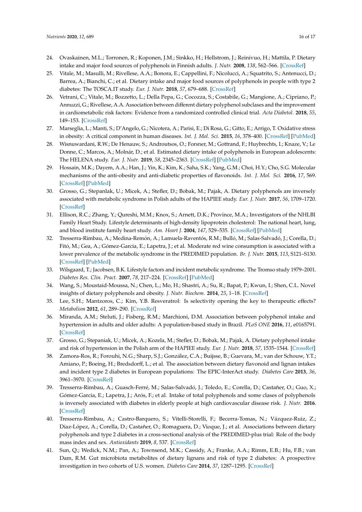- <span id="page-15-0"></span>24. Ovaskainen, M.L.; Torronen, R.; Koponen, J.M.; Sinkko, H.; Hellstrom, J.; Reinivuo, H.; Mattila, P. Dietary intake and major food sources of polyphenols in Finnish adults. *J. Nutr.* **2008**, *138*, 562–566. [\[CrossRef\]](http://dx.doi.org/10.1093/jn/138.3.562)
- <span id="page-15-1"></span>25. Vitale, M.; Masulli, M.; Rivellese, A.A.; Bonora, E.; Cappellini, F.; Nicolucci, A.; Squatrito, S.; Antenucci, D.; Barrea, A.; Bianchi, C.; et al. Dietary intake and major food sources of polyphenols in people with type 2 diabetes: The TOSCA.IT study. *Eur. J. Nutr.* **2018**, *57*, 679–688. [\[CrossRef\]](http://dx.doi.org/10.1007/s00394-016-1355-1)
- <span id="page-15-2"></span>26. Vetrani, C.; Vitale, M.; Bozzetto, L.; Della Pepa, G.; Cocozza, S.; Costabile, G.; Mangione, A.; Cipriano, P.; Annuzzi, G.; Rivellese, A.A. Association between different dietary polyphenol subclases and the improvement in cardiometabolic risk factors: Evidence from a randomized controlled clinical trial. *Acta Diabetol.* **2018**, *55*, 149–153. [\[CrossRef\]](http://dx.doi.org/10.1007/s00592-017-1075-x)
- <span id="page-15-3"></span>27. Marseglia, L.; Manti, S.; D'Angelo, G.; Nicotera, A.; Parisi, E.; Di Rosa, G.; Gitto, E.; Arrigo, T. Oxidative stress in obesity: A critical component in human diseases. *Int. J. Mol. Sci.* **2015**, *16*, 378–400. [\[CrossRef\]](http://dx.doi.org/10.3390/ijms16010378) [\[PubMed\]](http://www.ncbi.nlm.nih.gov/pubmed/25548896)
- <span id="page-15-4"></span>28. Wisnuwardani, R.W.; De Henauw, S.; Androutsos, O.; Forsner, M.; Gottrand, F.; Huybrechts, I.; Knaze, V.; Le Donne, C.; Marcos, A.; Molnár, D.; et al. Estimated dietary intake of polyphenols in European adolescents: The HELENA study. *Eur. J. Nutr.* **2019**, *58*, 2345–2363. [\[CrossRef\]](http://dx.doi.org/10.1007/s00394-018-1787-x) [\[PubMed\]](http://www.ncbi.nlm.nih.gov/pubmed/30062491)
- <span id="page-15-5"></span>29. Hossain, M.K.; Dayem, A.A.; Han, J.; Yin, K.; Kim, K.; Saha, S.K.; Yang, G.M.; Choi, H.Y.; Cho, S.G. Molecular mechanisms of the anti-obesity and anti-diabetic properties of flavonoids. *Int. J. Mol. Sci.* **2016**, *17*, 569. [\[CrossRef\]](http://dx.doi.org/10.3390/ijms17040569) [\[PubMed\]](http://www.ncbi.nlm.nih.gov/pubmed/27092490)
- <span id="page-15-6"></span>30. Grosso, G.; Stepanlak, U.; Micek, A.; Stefler, D.; Bobak, M.; Pajak, A. Dietary polyphenols are inversely associated with metabolic syndrome in Polish adults of the HAPIEE study. *Eur. J. Nutr.* **2017**, *56*, 1709–1720. [\[CrossRef\]](http://dx.doi.org/10.1007/s00394-016-1187-z)
- <span id="page-15-7"></span>31. Ellison, R.C.; Zhang, Y.; Qureshi, M.M.; Knox, S.; Arnett, D.K.; Province, M.A.; Investigators of the NHLBI Family Heart Study. Lifestyle determinants of high-density lipoprotein cholesterol: The national heart, lung, and blood institute family heart study. *Am. Heart J.* **2004**, *147*, 529–535. [\[CrossRef\]](http://dx.doi.org/10.1016/j.ahj.2003.10.033) [\[PubMed\]](http://www.ncbi.nlm.nih.gov/pubmed/14999205)
- <span id="page-15-8"></span>32. Tresserra-Rimbau, A.; Medina-Remón, A.; Lamuela-Raventós, R.M.; Bulló, M.; Salas-Salvadó, J.; Corella, D.; Fitó, M.; Gea, A.; Gómez-Garcia, E.; Lapetra, J.; et al. Moderate red wine consumption is associated with a lower prevalence of the metabolic syndrome in the PREDIMED population. *Br. J. Nutr.* **2015**, *113*, S121–S130. [\[CrossRef\]](http://dx.doi.org/10.1017/S0007114514003262) [\[PubMed\]](http://www.ncbi.nlm.nih.gov/pubmed/26148915)
- <span id="page-15-9"></span>33. Wilsgaard, T.; Jacobsen, B.K. Lifestyle factors and incident metabolic syndrome. The Tromso study 1979–2001. *Diabetes Res. Clin. Pract.* **2007**, *78*, 217–224. [\[CrossRef\]](http://dx.doi.org/10.1016/j.diabres.2007.03.006) [\[PubMed\]](http://www.ncbi.nlm.nih.gov/pubmed/17448561)
- <span id="page-15-10"></span>34. Wang, S.; Moustaid-Moussa, N.; Chen, L.; Mo, H.; Shastri, A.; Su, R.; Bapat, P.; Kwun, I.; Shen, C.L. Novel insights of dietary polyphenols and obesity. *J. Nutr. Biochem.* **2014**, *25*, 1–18. [\[CrossRef\]](http://dx.doi.org/10.1016/j.jnutbio.2013.09.001)
- <span id="page-15-11"></span>35. Lee, S.H.; Mantzoros, C.; Kim, Y.B. Resveratrol: Is selectivity opening the key to therapeutic effects? *Metabolism* **2012**, *61*, 289–290. [\[CrossRef\]](http://dx.doi.org/10.1016/j.metabol.2011.09.015)
- <span id="page-15-12"></span>36. Miranda, A.M.; Steluti, J.; Fisberg, R.M.; Marchioni, D.M. Association between polyphenol intake and hypertension in adults and older adults: A population-based study in Brazil. *PLoS ONE* **2016**, *11*, e0165791. [\[CrossRef\]](http://dx.doi.org/10.1371/journal.pone.0165791)
- <span id="page-15-13"></span>37. Grosso, G.; Stepaniak, U.; Micek, A.; Kozela, M.; Stefler, D.; Bobak, M.; Pajak, A. Dietary polyphenol intake and risk of hypertension in the Polish arm of the HAPIEE study. *Eur. J. Nutr.* **2018**, *57*, 1535–1544. [\[CrossRef\]](http://dx.doi.org/10.1007/s00394-017-1438-7)
- <span id="page-15-14"></span>38. Zamora-Ros, R.; Forouhi, N.G.; Sharp, S.J.; González, C.A.; Buijsse, B.; Guevara, M.; van der Schouw, Y.T.; Amiano, P.; Boeing, H.; Bredsdorff, L.; et al. The association between dietary flavonoid and lignan intakes and incident type 2 diabetes in European populations: The EPIC-InterAct study. *Diabetes Care* **2013**, *36*, 3961–3970. [\[CrossRef\]](http://dx.doi.org/10.2337/dc13-0877)
- <span id="page-15-15"></span>39. Tresserra-Rimbau, A.; Guasch-Ferré, M.; Salas-Salvadó, J.; Toledo, E.; Corella, D.; Castañer, O.; Guo, X.; Gómez-Garcia, E.; Lapetra, J.; Arós, F.; et al. Intake of total polyphenols and some clases of polyphenols is inversely associated with diabetes in elderly people at high cardiovascular disease risk. *J. Nutr.* **2016**. [\[CrossRef\]](http://dx.doi.org/10.3945/jn.115.223610)
- <span id="page-15-16"></span>40. Tresserra-Rimbau, A.; Castro-Barquero, S.; Vitelli-Storelli, F.; Becerra-Tomas, N.; Vázquez-Ruiz, Z.; Díaz-López, A.; Corella, D.; Castañer, O.; Romaguera, D.; Vioque, J.; et al. Associations between dietary polyphenols and type 2 diabetes in a cross-sectional analysis of the PREDIMED-plus trial: Role of the body mass index and sex. *Antioxidants* **2019**, *8*, 537. [\[CrossRef\]](http://dx.doi.org/10.3390/antiox8110537)
- <span id="page-15-17"></span>41. Sun, Q.; Wedick, N.M.; Pan, A.; Townsend, M.K.; Cassidy, A.; Franke, A.A.; Rimm, E.B.; Hu, F.B.; van Dam, R.M. Gut microbiota metabolites of dietary lignans and risk of type 2 diabetes: A prospective investigation in two cohorts of U.S. women. *Diabetes Care* **2014**, *37*, 1287–1295. [\[CrossRef\]](http://dx.doi.org/10.2337/dc13-2513)